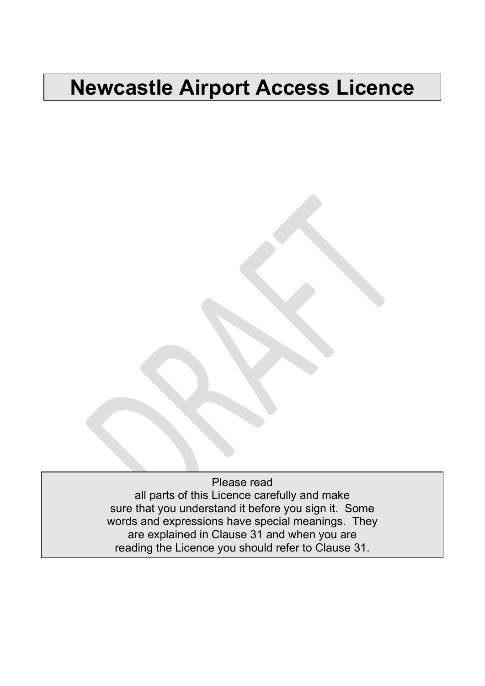# **Newcastle Airport Access Licence**

Please read all parts of this Licence carefully and make sure that you understand it before you sign it. Some words and expressions have special meanings. They are explained in Clause [31](#page-12-0) and when you are reading the Licence you should refer to Clause [31.](#page-12-0)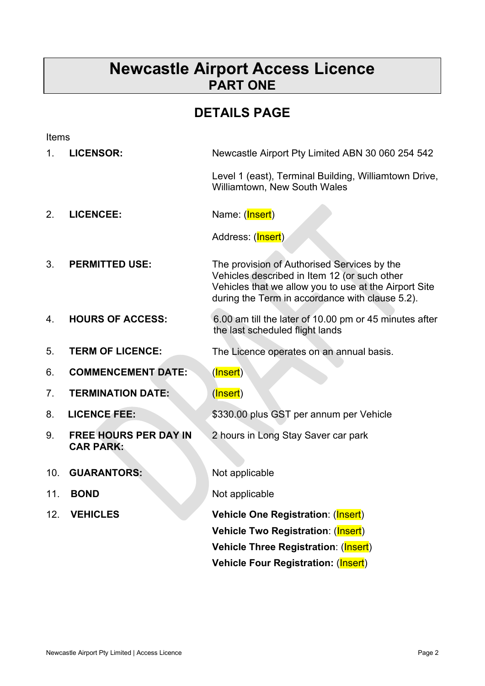# **Newcastle Airport Access Licence PART ONE**

# **DETAILS PAGE**

| Items |                                                  |                                                                                                                                                                                                         |  |
|-------|--------------------------------------------------|---------------------------------------------------------------------------------------------------------------------------------------------------------------------------------------------------------|--|
| 1.    | <b>LICENSOR:</b>                                 | Newcastle Airport Pty Limited ABN 30 060 254 542                                                                                                                                                        |  |
|       |                                                  | Level 1 (east), Terminal Building, Williamtown Drive,<br>Williamtown, New South Wales                                                                                                                   |  |
| 2.    | <b>LICENCEE:</b>                                 | Name: (Insert)                                                                                                                                                                                          |  |
|       |                                                  | Address: ( <mark>Insert</mark> )                                                                                                                                                                        |  |
| 3.    | <b>PERMITTED USE:</b>                            | The provision of Authorised Services by the<br>Vehicles described in Item 12 (or such other<br>Vehicles that we allow you to use at the Airport Site<br>during the Term in accordance with clause 5.2). |  |
| 4.    | <b>HOURS OF ACCESS:</b>                          | 6.00 am till the later of 10.00 pm or 45 minutes after<br>the last scheduled flight lands                                                                                                               |  |
| 5.    | <b>TERM OF LICENCE:</b>                          | The Licence operates on an annual basis.                                                                                                                                                                |  |
| 6.    | <b>COMMENCEMENT DATE:</b>                        | (Insert)                                                                                                                                                                                                |  |
| 7.    | <b>TERMINATION DATE:</b>                         | (Insert)                                                                                                                                                                                                |  |
| 8.    | <b>LICENCE FEE:</b>                              | \$330.00 plus GST per annum per Vehicle                                                                                                                                                                 |  |
| 9.    | <b>FREE HOURS PER DAY IN</b><br><b>CAR PARK:</b> | 2 hours in Long Stay Saver car park                                                                                                                                                                     |  |
| 10.   | <b>GUARANTORS:</b>                               | Not applicable                                                                                                                                                                                          |  |
| 11.   | <b>BOND</b>                                      | Not applicable                                                                                                                                                                                          |  |
| 12.   | <b>VEHICLES</b>                                  | Vehicle One Registration: (Insert)                                                                                                                                                                      |  |
|       |                                                  | Vehicle Two Registration: (Insert)                                                                                                                                                                      |  |
|       |                                                  | Vehicle Three Registration: (Insert)                                                                                                                                                                    |  |
|       |                                                  | <b>Vehicle Four Registration: (Insert)</b>                                                                                                                                                              |  |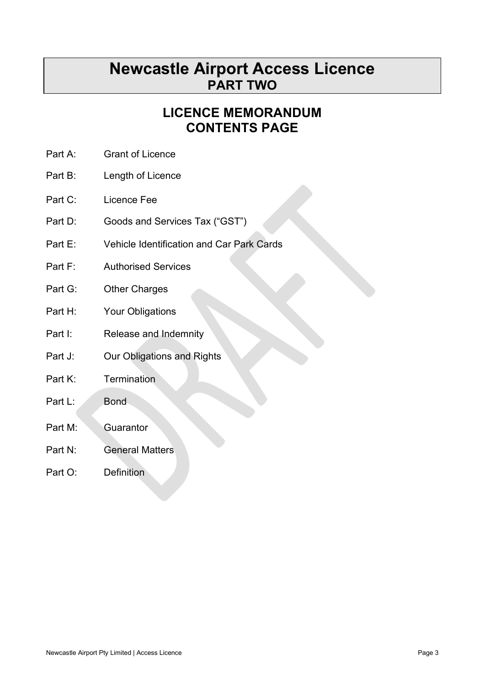# **Newcastle Airport Access Licence PART TWO**

# **LICENCE MEMORANDUM CONTENTS PAGE**

- Part A: Grant of Licence
- Part B: Length of Licence
- Part C: Licence Fee
- Part D: Goods and Services Tax ("GST")
- Part E: Vehicle Identification and Car Park Cards
- Part F: **Authorised Services**
- Part G: Other Charges
- Part  $H^+$ Your Obligations
- Part I: Release and Indemnity
- Part J: Our Obligations and Rights
- Part K: **Termination**
- Part L: Bond
- Part M: Guarantor
- Part N: General Matters
- Part O: Definition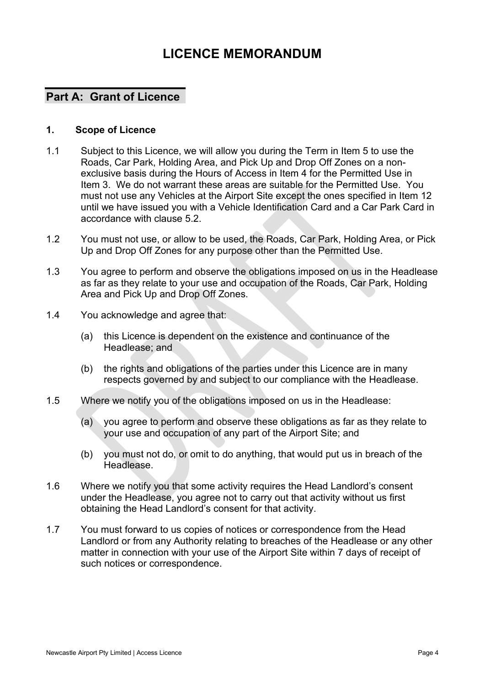# **LICENCE MEMORANDUM**

### **Part A: Grant of Licence**

#### **1. Scope of Licence**

- 1.1 Subject to this Licence, we will allow you during the Term in Item 5 to use the Roads, Car Park, Holding Area, and Pick Up and Drop Off Zones on a nonexclusive basis during the Hours of Access in Item 4 for the Permitted Use in Item 3. We do not warrant these areas are suitable for the Permitted Use. You must not use any Vehicles at the Airport Site except the ones specified in Item 12 until we have issued you with a Vehicle Identification Card and a Car Park Card in accordance with clause [5.2.](#page-5-0)
- 1.2 You must not use, or allow to be used, the Roads, Car Park, Holding Area, or Pick Up and Drop Off Zones for any purpose other than the Permitted Use.
- 1.3 You agree to perform and observe the obligations imposed on us in the Headlease as far as they relate to your use and occupation of the Roads, Car Park, Holding Area and Pick Up and Drop Off Zones.
- 1.4 You acknowledge and agree that:
	- (a) this Licence is dependent on the existence and continuance of the Headlease; and
	- (b) the rights and obligations of the parties under this Licence are in many respects governed by and subject to our compliance with the Headlease.
- 1.5 Where we notify you of the obligations imposed on us in the Headlease:
	- (a) you agree to perform and observe these obligations as far as they relate to your use and occupation of any part of the Airport Site; and
	- (b) you must not do, or omit to do anything, that would put us in breach of the Headlease.
- 1.6 Where we notify you that some activity requires the Head Landlord's consent under the Headlease, you agree not to carry out that activity without us first obtaining the Head Landlord's consent for that activity.
- 1.7 You must forward to us copies of notices or correspondence from the Head Landlord or from any Authority relating to breaches of the Headlease or any other matter in connection with your use of the Airport Site within 7 days of receipt of such notices or correspondence.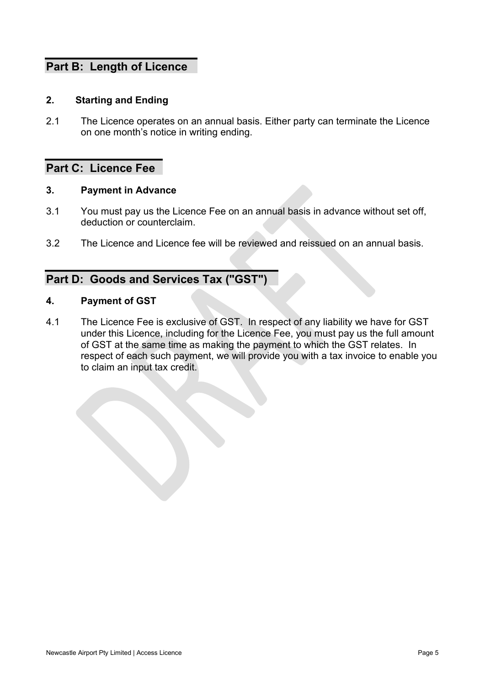### **Part B: Length of Licence**

#### **2. Starting and Ending**

2.1 The Licence operates on an annual basis. Either party can terminate the Licence on one month's notice in writing ending.

### **Part C: Licence Fee**

#### **3. Payment in Advance**

- 3.1 You must pay us the Licence Fee on an annual basis in advance without set off, deduction or counterclaim.
- 3.2 The Licence and Licence fee will be reviewed and reissued on an annual basis.

### **Part D: Goods and Services Tax ("GST")**

#### **4. Payment of GST**

4.1 The Licence Fee is exclusive of GST. In respect of any liability we have for GST under this Licence, including for the Licence Fee, you must pay us the full amount of GST at the same time as making the payment to which the GST relates. In respect of each such payment, we will provide you with a tax invoice to enable you to claim an input tax credit.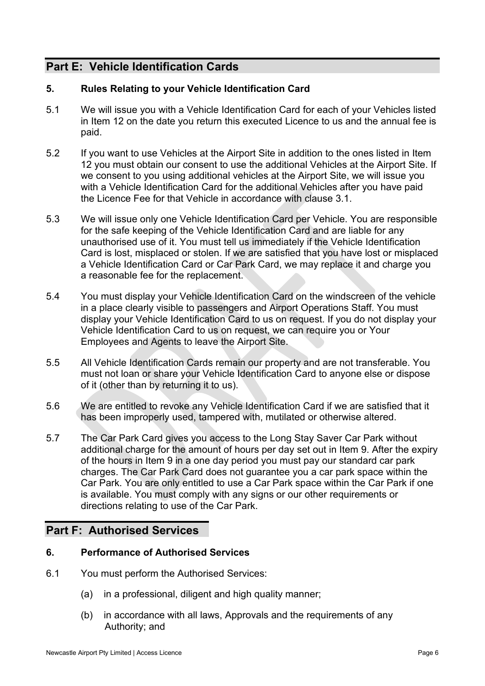### **Part E: Vehicle Identification Cards**

#### **5. Rules Relating to your Vehicle Identification Card**

- 5.1 We will issue you with a Vehicle Identification Card for each of your Vehicles listed in Item 12 on the date you return this executed Licence to us and the annual fee is paid.
- <span id="page-5-0"></span>5.2 If you want to use Vehicles at the Airport Site in addition to the ones listed in Item 12 you must obtain our consent to use the additional Vehicles at the Airport Site. If we consent to you using additional vehicles at the Airport Site, we will issue you with a Vehicle Identification Card for the additional Vehicles after you have paid the Licence Fee for that Vehicle in accordance with clause 3.1.
- 5.3 We will issue only one Vehicle Identification Card per Vehicle. You are responsible for the safe keeping of the Vehicle Identification Card and are liable for any unauthorised use of it. You must tell us immediately if the Vehicle Identification Card is lost, misplaced or stolen. If we are satisfied that you have lost or misplaced a Vehicle Identification Card or Car Park Card, we may replace it and charge you a reasonable fee for the replacement.
- 5.4 You must display your Vehicle Identification Card on the windscreen of the vehicle in a place clearly visible to passengers and Airport Operations Staff. You must display your Vehicle Identification Card to us on request. If you do not display your Vehicle Identification Card to us on request, we can require you or Your Employees and Agents to leave the Airport Site.
- 5.5 All Vehicle Identification Cards remain our property and are not transferable. You must not loan or share your Vehicle Identification Card to anyone else or dispose of it (other than by returning it to us).
- 5.6 We are entitled to revoke any Vehicle Identification Card if we are satisfied that it has been improperly used, tampered with, mutilated or otherwise altered.
- 5.7 The Car Park Card gives you access to the Long Stay Saver Car Park without additional charge for the amount of hours per day set out in Item 9. After the expiry of the hours in Item 9 in a one day period you must pay our standard car park charges. The Car Park Card does not guarantee you a car park space within the Car Park. You are only entitled to use a Car Park space within the Car Park if one is available. You must comply with any signs or our other requirements or directions relating to use of the Car Park.

### **Part F: Authorised Services**

#### **6. Performance of Authorised Services**

- 6.1 You must perform the Authorised Services:
	- (a) in a professional, diligent and high quality manner;
	- (b) in accordance with all laws, Approvals and the requirements of any Authority; and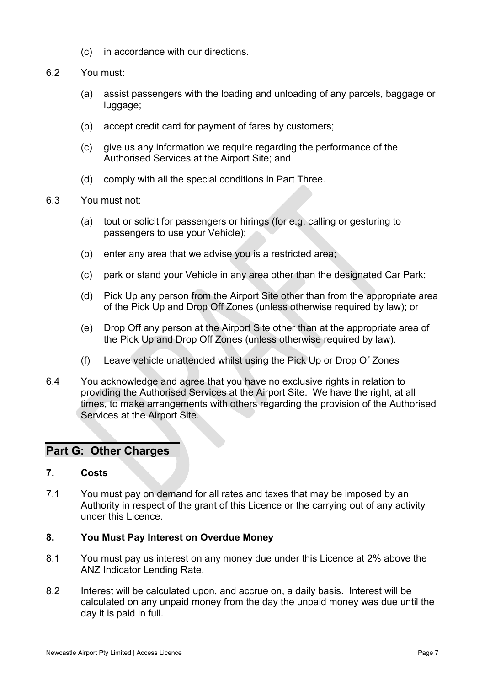- (c) in accordance with our directions.
- 6.2 You must:
	- (a) assist passengers with the loading and unloading of any parcels, baggage or luggage;
	- (b) accept credit card for payment of fares by customers;
	- (c) give us any information we require regarding the performance of the Authorised Services at the Airport Site; and
	- (d) comply with all the special conditions in Part Three.
- 6.3 You must not:
	- (a) tout or solicit for passengers or hirings (for e.g. calling or gesturing to passengers to use your Vehicle);
	- (b) enter any area that we advise you is a restricted area;
	- (c) park or stand your Vehicle in any area other than the designated Car Park;
	- (d) Pick Up any person from the Airport Site other than from the appropriate area of the Pick Up and Drop Off Zones (unless otherwise required by law); or
	- (e) Drop Off any person at the Airport Site other than at the appropriate area of the Pick Up and Drop Off Zones (unless otherwise required by law).
	- (f) Leave vehicle unattended whilst using the Pick Up or Drop Of Zones
- 6.4 You acknowledge and agree that you have no exclusive rights in relation to providing the Authorised Services at the Airport Site. We have the right, at all times, to make arrangements with others regarding the provision of the Authorised Services at the Airport Site.

#### **Part G: Other Charges**

#### **7. Costs**

7.1 You must pay on demand for all rates and taxes that may be imposed by an Authority in respect of the grant of this Licence or the carrying out of any activity under this Licence.

#### **8. You Must Pay Interest on Overdue Money**

- 8.1 You must pay us interest on any money due under this Licence at 2% above the ANZ Indicator Lending Rate.
- 8.2 Interest will be calculated upon, and accrue on, a daily basis. Interest will be calculated on any unpaid money from the day the unpaid money was due until the day it is paid in full.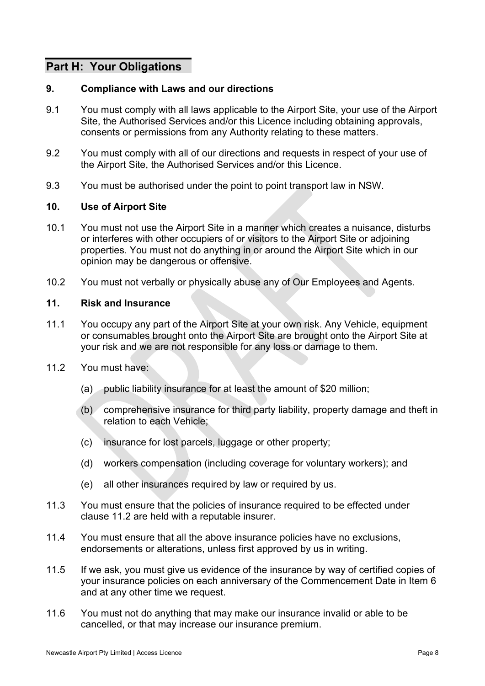### **Part H: Your Obligations**

#### **9. Compliance with Laws and our directions**

- 9.1 You must comply with all laws applicable to the Airport Site, your use of the Airport Site, the Authorised Services and/or this Licence including obtaining approvals, consents or permissions from any Authority relating to these matters.
- 9.2 You must comply with all of our directions and requests in respect of your use of the Airport Site, the Authorised Services and/or this Licence.
- 9.3 You must be authorised under the point to point transport law in NSW.

#### **10. Use of Airport Site**

- 10.1 You must not use the Airport Site in a manner which creates a nuisance, disturbs or interferes with other occupiers of or visitors to the Airport Site or adjoining properties. You must not do anything in or around the Airport Site which in our opinion may be dangerous or offensive.
- 10.2 You must not verbally or physically abuse any of Our Employees and Agents.

#### **11. Risk and Insurance**

- 11.1 You occupy any part of the Airport Site at your own risk. Any Vehicle, equipment or consumables brought onto the Airport Site are brought onto the Airport Site at your risk and we are not responsible for any loss or damage to them.
- <span id="page-7-0"></span>11.2 You must have:
	- (a) public liability insurance for at least the amount of \$20 million;
	- (b) comprehensive insurance for third party liability, property damage and theft in relation to each Vehicle;
	- (c) insurance for lost parcels, luggage or other property;
	- (d) workers compensation (including coverage for voluntary workers); and
	- (e) all other insurances required by law or required by us.
- 11.3 You must ensure that the policies of insurance required to be effected under clause [11.2](#page-7-0) are held with a reputable insurer.
- 11.4 You must ensure that all the above insurance policies have no exclusions, endorsements or alterations, unless first approved by us in writing.
- 11.5 If we ask, you must give us evidence of the insurance by way of certified copies of your insurance policies on each anniversary of the Commencement Date in Item 6 and at any other time we request.
- 11.6 You must not do anything that may make our insurance invalid or able to be cancelled, or that may increase our insurance premium.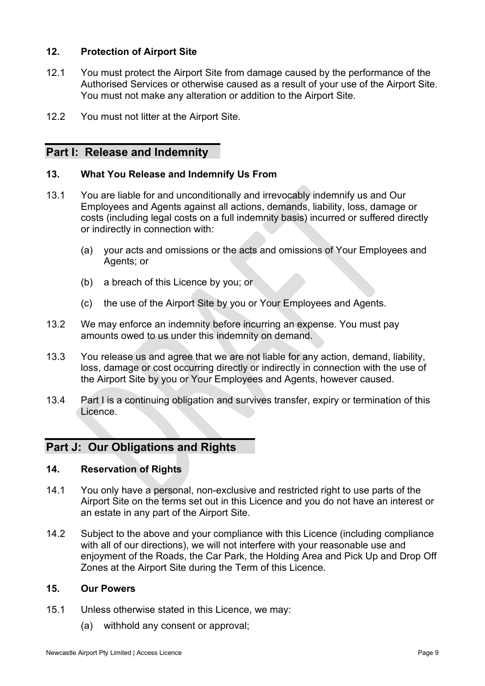#### **12. Protection of Airport Site**

- 12.1 You must protect the Airport Site from damage caused by the performance of the Authorised Services or otherwise caused as a result of your use of the Airport Site. You must not make any alteration or addition to the Airport Site.
- 12.2 You must not litter at the Airport Site.

#### **Part I: Release and Indemnity**

#### **13. What You Release and Indemnify Us From**

- 13.1 You are liable for and unconditionally and irrevocably indemnify us and Our Employees and Agents against all actions, demands, liability, loss, damage or costs (including legal costs on a full indemnity basis) incurred or suffered directly or indirectly in connection with:
	- (a) your acts and omissions or the acts and omissions of Your Employees and Agents; or
	- (b) a breach of this Licence by you; or
	- (c) the use of the Airport Site by you or Your Employees and Agents.
- 13.2 We may enforce an indemnity before incurring an expense. You must pay amounts owed to us under this indemnity on demand.
- 13.3 You release us and agree that we are not liable for any action, demand, liability, loss, damage or cost occurring directly or indirectly in connection with the use of the Airport Site by you or Your Employees and Agents, however caused.
- 13.4 Part I is a continuing obligation and survives transfer, expiry or termination of this Licence.

#### **Part J: Our Obligations and Rights**

#### **14. Reservation of Rights**

- 14.1 You only have a personal, non-exclusive and restricted right to use parts of the Airport Site on the terms set out in this Licence and you do not have an interest or an estate in any part of the Airport Site.
- 14.2 Subject to the above and your compliance with this Licence (including compliance with all of our directions), we will not interfere with your reasonable use and enjoyment of the Roads, the Car Park, the Holding Area and Pick Up and Drop Off Zones at the Airport Site during the Term of this Licence.

#### **15. Our Powers**

- 15.1 Unless otherwise stated in this Licence, we may:
	- (a) withhold any consent or approval;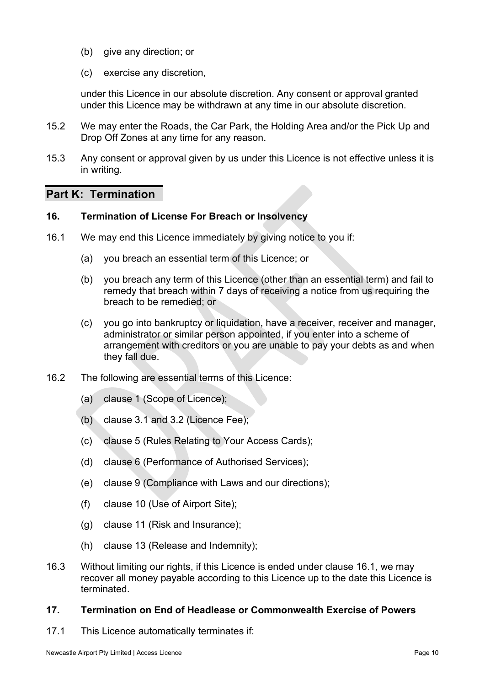- (b) give any direction; or
- (c) exercise any discretion,

under this Licence in our absolute discretion. Any consent or approval granted under this Licence may be withdrawn at any time in our absolute discretion.

- 15.2 We may enter the Roads, the Car Park, the Holding Area and/or the Pick Up and Drop Off Zones at any time for any reason.
- 15.3 Any consent or approval given by us under this Licence is not effective unless it is in writing.

### **Part K: Termination**

#### **16. Termination of License For Breach or Insolvency**

- <span id="page-9-0"></span>16.1 We may end this Licence immediately by giving notice to you if:
	- (a) you breach an essential term of this Licence; or
	- (b) you breach any term of this Licence (other than an essential term) and fail to remedy that breach within 7 days of receiving a notice from us requiring the breach to be remedied; or
	- (c) you go into bankruptcy or liquidation, have a receiver, receiver and manager, administrator or similar person appointed, if you enter into a scheme of arrangement with creditors or you are unable to pay your debts as and when they fall due.
- 16.2 The following are essential terms of this Licence:
	- (a) clause 1 (Scope of Licence);
	- (b) clause 3.1 and 3.2 (Licence Fee);
	- (c) clause 5 (Rules Relating to Your Access Cards);
	- (d) clause 6 (Performance of Authorised Services);
	- (e) clause 9 (Compliance with Laws and our directions);
	- (f) clause 10 (Use of Airport Site);
	- (g) clause 11 (Risk and Insurance);
	- (h) clause 13 (Release and Indemnity);
- 16.3 Without limiting our rights, if this Licence is ended under clause [16.1,](#page-9-0) we may recover all money payable according to this Licence up to the date this Licence is terminated.

#### **17. Termination on End of Headlease or Commonwealth Exercise of Powers**

17.1 This Licence automatically terminates if: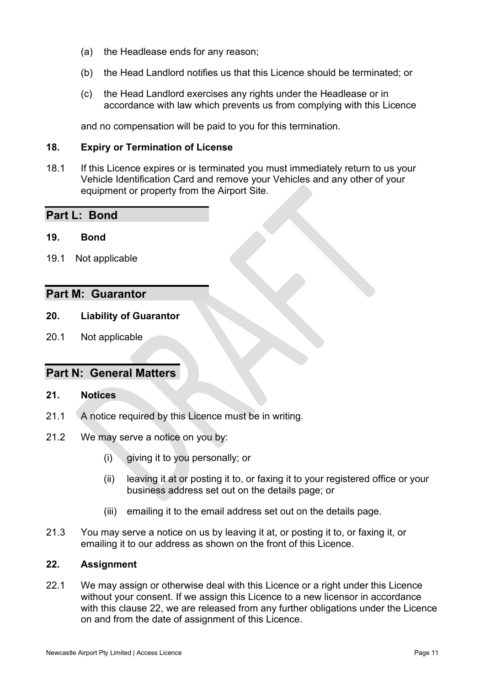- (a) the Headlease ends for any reason;
- (b) the Head Landlord notifies us that this Licence should be terminated; or
- (c) the Head Landlord exercises any rights under the Headlease or in accordance with law which prevents us from complying with this Licence

and no compensation will be paid to you for this termination.

#### **18. Expiry or Termination of License**

18.1 If this Licence expires or is terminated you must immediately return to us your Vehicle Identification Card and remove your Vehicles and any other of your equipment or property from the Airport Site.

#### **Part L: Bond**

- **19. Bond**
- 19.1 Not applicable

#### **Part M: Guarantor**

#### **20. Liability of Guarantor**

20.1 Not applicable

#### **Part N: General Matters**

#### **21. Notices**

- 21.1 A notice required by this Licence must be in writing.
- 21.2 We may serve a notice on you by:
	- (i) giving it to you personally; or
	- (ii) leaving it at or posting it to, or faxing it to your registered office or your business address set out on the details page; or
	- (iii) emailing it to the email address set out on the details page.
- 21.3 You may serve a notice on us by leaving it at, or posting it to, or faxing it, or emailing it to our address as shown on the front of this Licence.

#### **22. Assignment**

22.1 We may assign or otherwise deal with this Licence or a right under this Licence without your consent. If we assign this Licence to a new licensor in accordance with this clause 22, we are released from any further obligations under the Licence on and from the date of assignment of this Licence.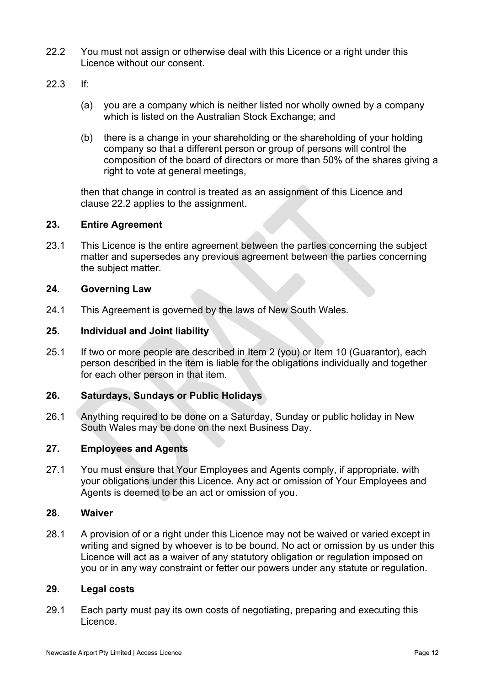- <span id="page-11-0"></span>22.2 You must not assign or otherwise deal with this Licence or a right under this Licence without our consent.
- 22.3 If:
	- (a) you are a company which is neither listed nor wholly owned by a company which is listed on the Australian Stock Exchange; and
	- (b) there is a change in your shareholding or the shareholding of your holding company so that a different person or group of persons will control the composition of the board of directors or more than 50% of the shares giving a right to vote at general meetings,

then that change in control is treated as an assignment of this Licence and clause [22.2](#page-11-0) applies to the assignment.

#### **23. Entire Agreement**

23.1 This Licence is the entire agreement between the parties concerning the subject matter and supersedes any previous agreement between the parties concerning the subject matter.

#### **24. Governing Law**

24.1 This Agreement is governed by the laws of New South Wales.

#### **25. Individual and Joint liability**

25.1 If two or more people are described in Item 2 (you) or Item 10 (Guarantor), each person described in the item is liable for the obligations individually and together for each other person in that item.

#### **26. Saturdays, Sundays or Public Holidays**

26.1 Anything required to be done on a Saturday, Sunday or public holiday in New South Wales may be done on the next Business Day.

#### **27. Employees and Agents**

27.1 You must ensure that Your Employees and Agents comply, if appropriate, with your obligations under this Licence. Any act or omission of Your Employees and Agents is deemed to be an act or omission of you.

#### **28. Waiver**

28.1 A provision of or a right under this Licence may not be waived or varied except in writing and signed by whoever is to be bound. No act or omission by us under this Licence will act as a waiver of any statutory obligation or regulation imposed on you or in any way constraint or fetter our powers under any statute or regulation.

#### **29. Legal costs**

29.1 Each party must pay its own costs of negotiating, preparing and executing this Licence.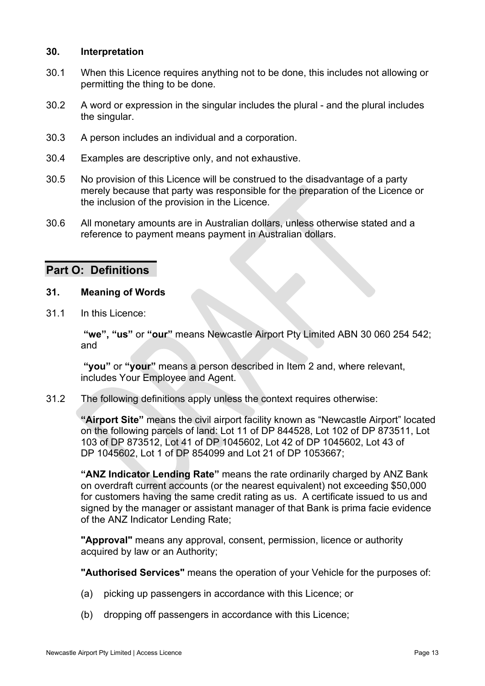#### **30. Interpretation**

- 30.1 When this Licence requires anything not to be done, this includes not allowing or permitting the thing to be done.
- 30.2 A word or expression in the singular includes the plural and the plural includes the singular.
- 30.3 A person includes an individual and a corporation.
- 30.4 Examples are descriptive only, and not exhaustive.
- 30.5 No provision of this Licence will be construed to the disadvantage of a party merely because that party was responsible for the preparation of the Licence or the inclusion of the provision in the Licence.
- 30.6 All monetary amounts are in Australian dollars, unless otherwise stated and a reference to payment means payment in Australian dollars.

#### **Part O: Definitions**

#### <span id="page-12-0"></span>**31. Meaning of Words**

31.1 In this Licence:

 **"we", "us"** or **"our"** means Newcastle Airport Pty Limited ABN 30 060 254 542; and

 **"you"** or **"your"** means a person described in Item 2 and, where relevant, includes Your Employee and Agent.

31.2 The following definitions apply unless the context requires otherwise:

**"Airport Site"** means the civil airport facility known as "Newcastle Airport" located on the following parcels of land: Lot 11 of DP 844528, Lot 102 of DP 873511, Lot 103 of DP 873512, Lot 41 of DP 1045602, Lot 42 of DP 1045602, Lot 43 of DP 1045602, Lot 1 of DP 854099 and Lot 21 of DP 1053667;

**"ANZ Indicator Lending Rate"** means the rate ordinarily charged by ANZ Bank on overdraft current accounts (or the nearest equivalent) not exceeding \$50,000 for customers having the same credit rating as us. A certificate issued to us and signed by the manager or assistant manager of that Bank is prima facie evidence of the ANZ Indicator Lending Rate;

**"Approval"** means any approval, consent, permission, licence or authority acquired by law or an Authority;

**"Authorised Services"** means the operation of your Vehicle for the purposes of:

- (a) picking up passengers in accordance with this Licence; or
- (b) dropping off passengers in accordance with this Licence;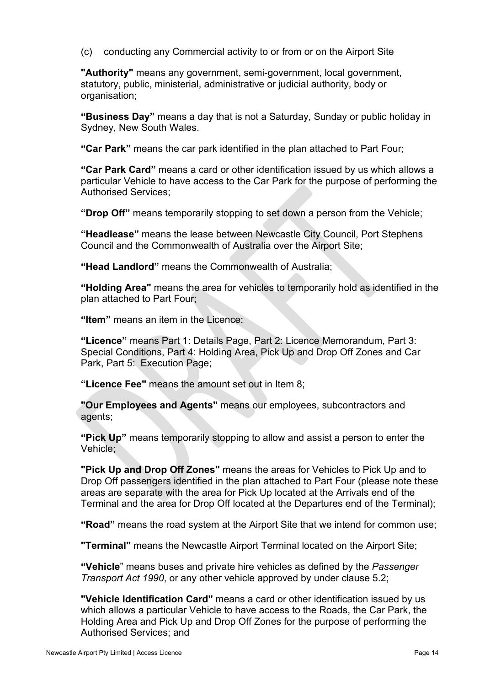(c) conducting any Commercial activity to or from or on the Airport Site

**"Authority"** means any government, semi-government, local government, statutory, public, ministerial, administrative or judicial authority, body or organisation;

**"Business Day"** means a day that is not a Saturday, Sunday or public holiday in Sydney, New South Wales.

**"Car Park"** means the car park identified in the plan attached to Part Four;

**"Car Park Card"** means a card or other identification issued by us which allows a particular Vehicle to have access to the Car Park for the purpose of performing the Authorised Services;

**"Drop Off"** means temporarily stopping to set down a person from the Vehicle;

**"Headlease"** means the lease between Newcastle City Council, Port Stephens Council and the Commonwealth of Australia over the Airport Site;

**"Head Landlord"** means the Commonwealth of Australia;

**"Holding Area"** means the area for vehicles to temporarily hold as identified in the plan attached to Part Four;

**"Item"** means an item in the Licence;

**"Licence"** means Part 1: Details Page, Part 2: Licence Memorandum, Part 3: Special Conditions, Part 4: Holding Area, Pick Up and Drop Off Zones and Car Park, Part 5: Execution Page;

**"Licence Fee"** means the amount set out in Item 8;

**"Our Employees and Agents"** means our employees, subcontractors and agents;

**"Pick Up"** means temporarily stopping to allow and assist a person to enter the Vehicle;

**"Pick Up and Drop Off Zones"** means the areas for Vehicles to Pick Up and to Drop Off passengers identified in the plan attached to Part Four (please note these areas are separate with the area for Pick Up located at the Arrivals end of the Terminal and the area for Drop Off located at the Departures end of the Terminal);

**"Road"** means the road system at the Airport Site that we intend for common use;

**"Terminal"** means the Newcastle Airport Terminal located on the Airport Site;

**"Vehicle**" means buses and private hire vehicles as defined by the *Passenger Transport Act 1990*, or any other vehicle approved by under clause [5.2;](#page-5-0)

**"Vehicle Identification Card"** means a card or other identification issued by us which allows a particular Vehicle to have access to the Roads, the Car Park, the Holding Area and Pick Up and Drop Off Zones for the purpose of performing the Authorised Services; and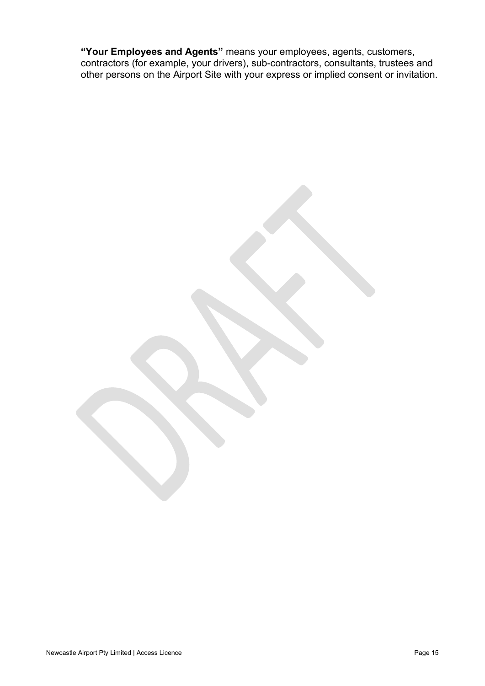**"Your Employees and Agents"** means your employees, agents, customers, contractors (for example, your drivers), sub-contractors, consultants, trustees and other persons on the Airport Site with your express or implied consent or invitation.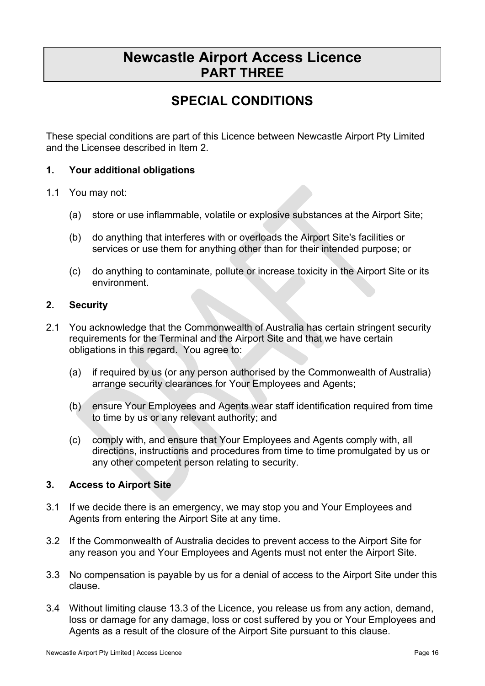# **Newcastle Airport Access Licence PART THREE**

# **SPECIAL CONDITIONS**

These special conditions are part of this Licence between Newcastle Airport Pty Limited and the Licensee described in Item 2.

#### **1. Your additional obligations**

#### 1.1 You may not:

- (a) store or use inflammable, volatile or explosive substances at the Airport Site;
- (b) do anything that interferes with or overloads the Airport Site's facilities or services or use them for anything other than for their intended purpose; or
- (c) do anything to contaminate, pollute or increase toxicity in the Airport Site or its environment.

#### **2. Security**

- 2.1 You acknowledge that the Commonwealth of Australia has certain stringent security requirements for the Terminal and the Airport Site and that we have certain obligations in this regard. You agree to:
	- (a) if required by us (or any person authorised by the Commonwealth of Australia) arrange security clearances for Your Employees and Agents;
	- (b) ensure Your Employees and Agents wear staff identification required from time to time by us or any relevant authority; and
	- (c) comply with, and ensure that Your Employees and Agents comply with, all directions, instructions and procedures from time to time promulgated by us or any other competent person relating to security.

#### **3. Access to Airport Site**

- 3.1 If we decide there is an emergency, we may stop you and Your Employees and Agents from entering the Airport Site at any time.
- 3.2 If the Commonwealth of Australia decides to prevent access to the Airport Site for any reason you and Your Employees and Agents must not enter the Airport Site.
- 3.3 No compensation is payable by us for a denial of access to the Airport Site under this clause.
- 3.4 Without limiting clause 13.3 of the Licence, you release us from any action, demand, loss or damage for any damage, loss or cost suffered by you or Your Employees and Agents as a result of the closure of the Airport Site pursuant to this clause.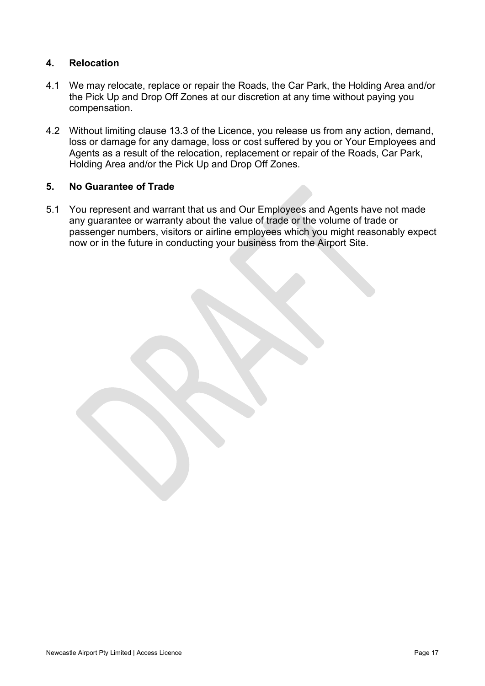#### **4. Relocation**

- 4.1 We may relocate, replace or repair the Roads, the Car Park, the Holding Area and/or the Pick Up and Drop Off Zones at our discretion at any time without paying you compensation.
- 4.2 Without limiting clause 13.3 of the Licence, you release us from any action, demand, loss or damage for any damage, loss or cost suffered by you or Your Employees and Agents as a result of the relocation, replacement or repair of the Roads, Car Park, Holding Area and/or the Pick Up and Drop Off Zones.

#### **5. No Guarantee of Trade**

5.1 You represent and warrant that us and Our Employees and Agents have not made any guarantee or warranty about the value of trade or the volume of trade or passenger numbers, visitors or airline employees which you might reasonably expect now or in the future in conducting your business from the Airport Site.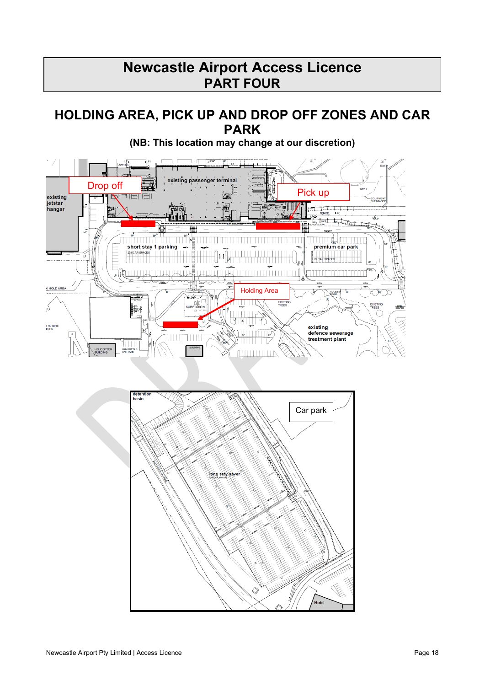# **Newcastle Airport Access Licence PART FOUR**

### **HOLDING AREA, PICK UP AND DROP OFF ZONES AND CAR PARK**



**(NB: This location may change at our discretion)**

 $\overline{\phantom{a}}$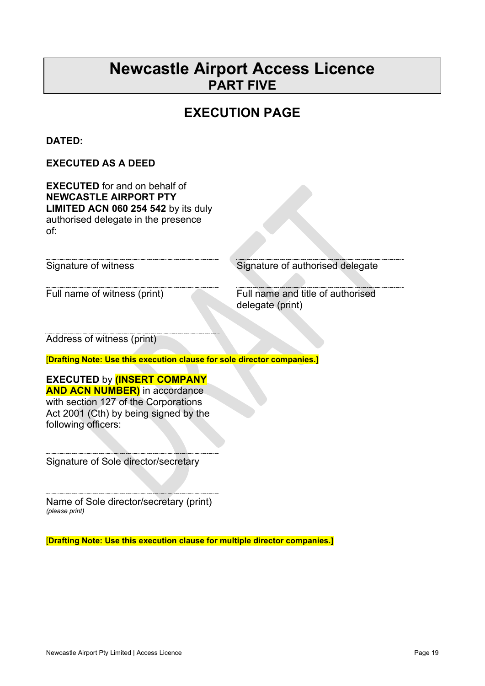# **Newcastle Airport Access Licence PART FIVE**

# **EXECUTION PAGE**

#### **DATED:**

#### **EXECUTED AS A DEED**

**EXECUTED** for and on behalf of **NEWCASTLE AIRPORT PTY LIMITED ACN 060 254 542** by its duly authorised delegate in the presence of:

Signature of witness Signature of authorised delegate

Full name of witness (print) Full name and title of authorised delegate (print)

Address of witness (print)

[**Drafting Note: Use this execution clause for sole director companies.]**

### **EXECUTED** by **(INSERT COMPANY**

**AND ACN NUMBER)** in accordance with section 127 of the Corporations Act 2001 (Cth) by being signed by the following officers:

Signature of Sole director/secretary

Name of Sole director/secretary (print) *(please print)*

[**Drafting Note: Use this execution clause for multiple director companies.]**